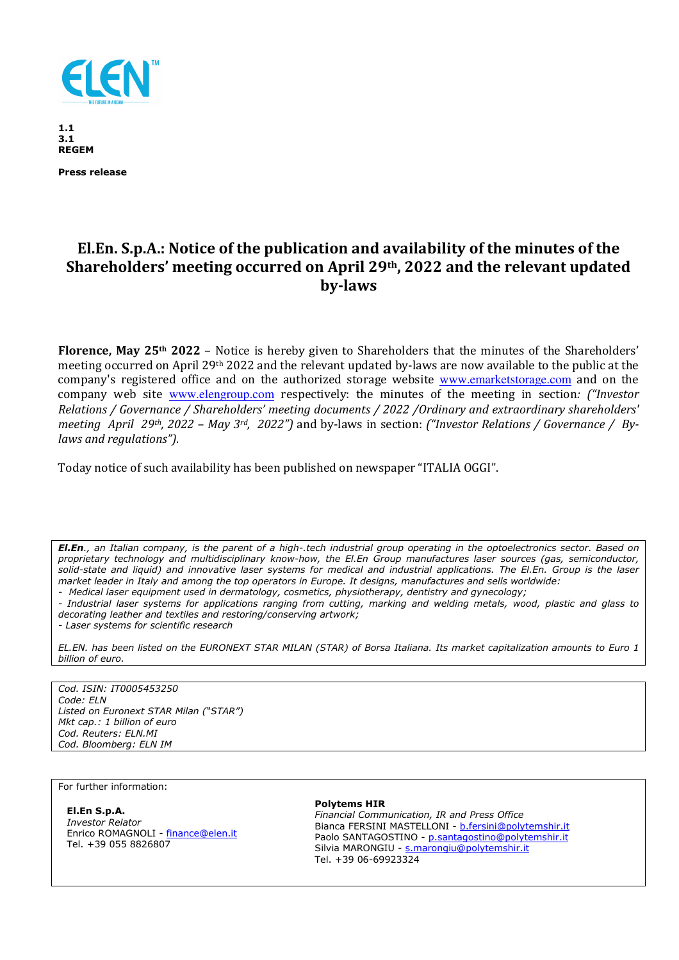

**1.1 3.1 REGEM** 

**Press release** 

## **El.En. S.p.A.: Notice of the publication and availability of the minutes of the Shareholders' meeting occurred on April 29th, 2022 and the relevant updated by-laws**

**Florence, May 25th 2022** – Notice is hereby given to Shareholders that the minutes of the Shareholders' meeting occurred on April 29th 2022 and the relevant updated by-laws are now available to the public at the company's registered office and on the authorized storage website www.emarketstorage.com and on the company web site www.elengroup.com respectively: the minutes of the meeting in section*: ("Investor Relations / Governance / Shareholders' meeting documents / 2022 /Ordinary and extraordinary shareholders' meeting April 29th, 2022 – May 3rd, 2022")* and by-laws in section: *("Investor Relations / Governance / Bylaws and regulations")*.

Today notice of such availability has been published on newspaper "ITALIA OGGI".

*El.En., an Italian company, is the parent of a high-.tech industrial group operating in the optoelectronics sector. Based on proprietary technology and multidisciplinary know-how, the El.En Group manufactures laser sources (gas, semiconductor, solid-state and liquid) and innovative laser systems for medical and industrial applications. The El.En. Group is the laser market leader in Italy and among the top operators in Europe. It designs, manufactures and sells worldwide:* 

*- Medical laser equipment used in dermatology, cosmetics, physiotherapy, dentistry and gynecology;* 

*- Industrial laser systems for applications ranging from cutting, marking and welding metals, wood, plastic and glass to decorating leather and textiles and restoring/conserving artwork;* 

*- Laser systems for scientific research* 

*EL.EN. has been listed on the EURONEXT STAR MILAN (STAR) of Borsa Italiana. Its market capitalization amounts to Euro 1 billion of euro.* 

*Cod. ISIN: IT0005453250 Code: ELN Listed on Euronext STAR Milan ("STAR") Mkt cap.: 1 billion of euro Cod. Reuters: ELN.MI Cod. Bloomberg: ELN IM* 

For further information:

**El.En S.p.A.** 

*Investor Relator*  Enrico ROMAGNOLI - finance@elen.it Tel. +39 055 8826807

## **Polytems HIR**

*Financial Communication, IR and Press Office*  Bianca FERSINI MASTELLONI - b.fersini@polytemshir.it Paolo SANTAGOSTINO - p.santagostino@polytemshir.it Silvia MARONGIU - s.marongiu@polytemshir.it Tel. +39 06-69923324